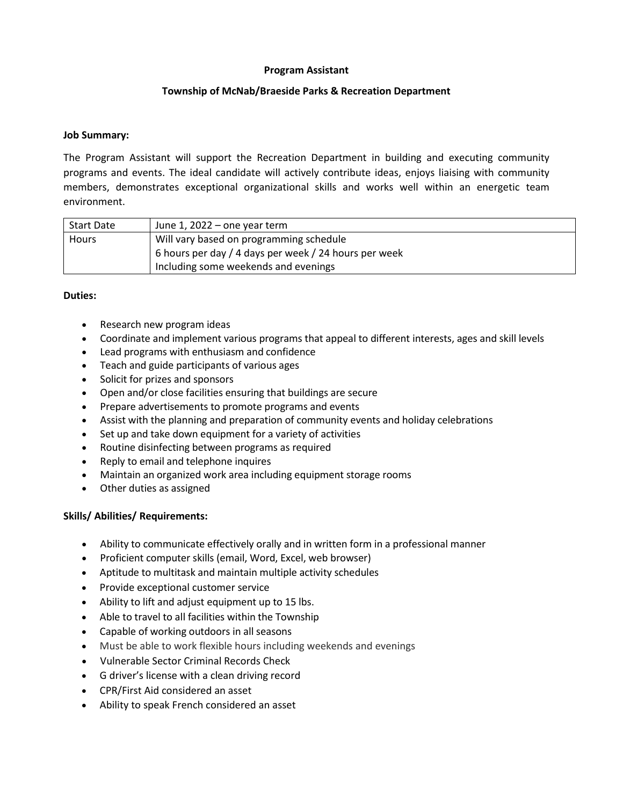# **Program Assistant**

# **Township of McNab/Braeside Parks & Recreation Department**

### **Job Summary:**

The Program Assistant will support the Recreation Department in building and executing community programs and events. The ideal candidate will actively contribute ideas, enjoys liaising with community members, demonstrates exceptional organizational skills and works well within an energetic team environment.

| <b>Start Date</b> | June 1, $2022 -$ one year term                        |
|-------------------|-------------------------------------------------------|
| <b>Hours</b>      | Will vary based on programming schedule               |
|                   | 6 hours per day / 4 days per week / 24 hours per week |
|                   | Including some weekends and evenings                  |

# **Duties:**

- Research new program ideas
- Coordinate and implement various programs that appeal to different interests, ages and skill levels
- Lead programs with enthusiasm and confidence
- Teach and guide participants of various ages
- Solicit for prizes and sponsors
- Open and/or close facilities ensuring that buildings are secure
- Prepare advertisements to promote programs and events
- Assist with the planning and preparation of community events and holiday celebrations
- Set up and take down equipment for a variety of activities
- Routine disinfecting between programs as required
- Reply to email and telephone inquires
- Maintain an organized work area including equipment storage rooms
- Other duties as assigned

# **Skills/ Abilities/ Requirements:**

- Ability to communicate effectively orally and in written form in a professional manner
- Proficient computer skills (email, Word, Excel, web browser)
- Aptitude to multitask and maintain multiple activity schedules
- Provide exceptional customer service
- Ability to lift and adjust equipment up to 15 lbs.
- Able to travel to all facilities within the Township
- Capable of working outdoors in all seasons
- Must be able to work flexible hours including weekends and evenings
- Vulnerable Sector Criminal Records Check
- G driver's license with a clean driving record
- CPR/First Aid considered an asset
- Ability to speak French considered an asset